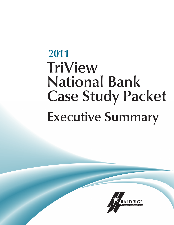# **2011 TriView National Bank Case Study Packet Executive Summary**

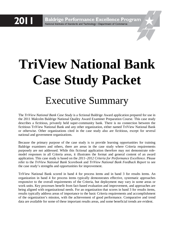# **TriView National Bank Case Study Packet**

**Baldrige Performance Excellence Program** 

National Institute of Standards and Technology . Department of Commerce

## Executive Summary

The *TriView National Bank Case Study* is a fictional Baldrige Award application prepared for use in the 2011 Malcolm Baldrige National Quality Award Examiner Preparation Course. This case study describes a fictitious, privately held super-community bank. There is no connection between the fictitious TriView National Bank and any other organization, either named TriView National Bank or otherwise. Other organizations cited in the case study also are fictitious, except for several national and government organizations.

Because the primary purpose of the case study is to provide learning opportunities for training Baldrige examiners and others, there are areas in the case study where Criteria requirements purposely are not addressed. While this fictional application therefore may not demonstrate rolemodel responses in all Criteria areas, it illustrates the format and general content of an award application. This case study is based on the *2011–2012 Criteria for Performance Excellence*. Please refer to the *TriView National Bank Scorebook* and *TriView National Bank Feedback Report* to see the case study's strengths and opportunities for improvement.

TriView National Bank scored in band 4 for process items and in band 3 for results items. An organization in band 4 for process items typically demonstrates effective, systematic approaches responsive to the overall requirements of the Criteria, but deployment may vary in some areas or work units. Key processes benefit from fact-based evaluation and improvement, and approaches are being aligned with organizational needs. For an organization that scores in band 3 for results items, results typically address areas of importance to the basic Criteria requirements and accomplishment of the organization's mission, with the achievement of good performance. Comparative and trend data are available for some of these important results areas, and some beneficial trends are evident.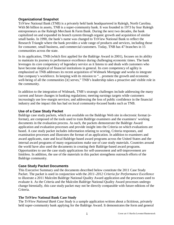### **Organizational Snapshot**

TriView National Bank (TNB) is a privately held bank headquartered in Raleigh, North Carolina. With \$6 billion in assets, TNB is a super-community bank. It was founded in 1973 by four Raleigh entrepreneurs as the Raleigh Merchant & Farm Bank. During the next two decades, the bank capitalized on and expanded its branch system through organic growth and acquisition of similar small banks. In 1990, the bank's name was changed to TriView National Bank to reflect the Research Triangle where the bank provides a wide range of products and services, including those for consumer, small business, and commercial customers. Today, TNB has 47 branches in 15 communities across the state.

In its application, TNB (which first applied for the Baldrige Award in 2001), focuses on its ability to maintain its journey to performance excellence during challenging economic times. The bank leverages its core competency of legendary service as it listens to and deals with customers who have become skeptical of financial institutions in general. Its core competency of agility is emphasized as TNB addresses its recent acquisition of Widmark Mortgage and works to integrate that company's workforce. In keeping with its mission to "…promote the growth and economic well-being of all the communities [it] serves," TNB's leadership takes a proactive and visible role in the community.

In addition to the integration of Widmark, TNB's strategic challenges include addressing the many current and future changes in banking regulations; meeting earnings targets while customers increasingly use low-margin services; and addressing the loss of public confidence in the financial industry and the impact this has had on local community-focused banks such as TNB.

### **Use of a Case Study Packet**

Baldrige case study packets, which are available on the Baldrige Web site in electronic format (eformat), are composed of the tools used to train Baldrige examiners and the examiners' working documents in the evaluation process. As such, the packets demonstrate the Baldrige Award application and evaluation processes and provide insight into the Criteria on which evaluations are based. A case study packet includes information relating to scoring, Criteria responses, and examination processes and illustrates the format of an application. In addition to examiners and award applicants, state and local Baldrige-based award programs across the United States and the internal award programs of many organizations make use of case study materials. Countries around the world have also used the documents in creating their Baldrige-based award programs. Opportunities to use the case study applications for self-assessment and self-improvement are limitless. In addition, the use of the materials in this packet strengthens outreach efforts of the Baldrige community.

### **Case Study Packet Documents**

This Executive Summary and the documents described below constitute the 2011 Case Study Packet. The packet is used in conjunction with the *2011–2012 Criteria for Performance Excellence* to illustrate a 2011 Malcolm Baldrige National Quality Award application and the processes used to evaluate it. As the Criteria and the Malcolm Baldrige National Quality Award processes undergo change biennially, this case study packet may not be directly comparable with future editions of the Criteria.

#### **The TriView National Bank Case Study**

The *TriView National Bank Case Study* is a sample application written about a fictitious, privately held super-community bank applying for the Baldrige Award. It demonstrates the form and general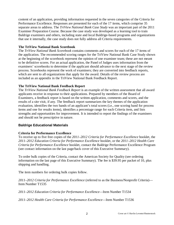content of an application, providing information requested in the seven categories of the Criteria for Performance Excellence. Responses are presented for each of the 17 items, which comprise 35 separate areas to address. The *TriView National Bank Case Study* was an important part of the 2011 Examiner Preparation Course. Because the case study was developed as a learning tool to train Baldrige examiners and others, including state and local Baldrige-based programs and organizations that use it internally, the case study does not fully address all Criteria requirements.

#### **The TriView National Bank Scorebook**

The *TriView National Bank Scorebook* contains comments and scores for each of the 17 items of the application. The recommended scoring ranges for the TriView National Bank Case Study shown at the beginning of the scorebook represent the opinion of one examiner team; these are not meant to be definitive scores. For an actual application, the Panel of Judges uses information from the examiners' scorebooks to determine if the applicant should advance to the next stage of the review process. Scorebooks represent the work of examiners; they are converted into feedback reports, which are sent to all organizations that apply for the award. Details of the review process are included as an appendix in the TriView National Bank Feedback Report.

#### **The TriView National Bank Feedback Report**

The *TriView National Bank Feedback Report* is an example of the written assessment that all award applicants receive in response to their applications. Prepared by members of the Board of Examiners, a feedback report is based on the written application, comments and scores, and the results of a site visit, if any. The feedback report summarizes the key themes of the application evaluation, identifies the two bands of an applicant's total scores (i.e., one scoring band for process items and one for results items), identifies a percentage range for each Criteria item, and lists strengths and opportunities for improvement. It is intended to report the findings of the examiners and should not be prescriptive in nature.

#### **Baldrige Educational Materials**

#### **Criteria for Performance Excellence**

To receive up to five free copies of the *2011–2012 Criteria for Performance Excellence* booklet, the *2011–2012 Education Criteria for Performance Excellence* booklet, or the *2011–2012 Health Care Criteria for Performance Excellence* booklet, contact the Baldrige Performance Excellence Program (see contact information on the last page/back cover of this Executive Summary).

To order bulk copies of the Criteria, contact the American Society for Quality (see ordering information on the last page of this Executive Summary). The fee is \$39.95 per packet of 10, plus shipping and handling.

The item numbers for ordering bulk copies follow.

*2011–2012 Criteria for Performance Excellence* (referred to as the Business/Nonprofit Criteria)— Item Number T1535

*2011–2012 Education Criteria for Performance Excellence*—Item Number T1534

*2011–2012 Health Care Criteria for Performance Excellence*—Item Number T1536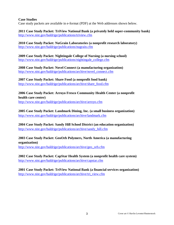#### **Case Studies**

Case study packets are available in e-format (PDF) at the Web addresses shown below.

**2011 Case Study Packet: TriView National Bank (a privately held super-community bank)** <http://www.nist.gov/baldrige/publications/triview.cfm>

**2010 Case Study Packet: NuGrain Laboratories (a nonprofit research laboratory)** <http://www.nist.gov/baldrige/publications/nugrain.cfm>

**2009 Case Study Packet: Nightingale College of Nursing (a nursing school)** [http://www.nist.gov/baldrige/publications/nightingale\\_college.cfm](http://www.nist.gov/baldrige/publications/nightingale_college.cfm)

**2008 Case Study Packet: Novel Connect (a manufacturing organization)** [http://www.nist.gov/baldrige/publications/archive/novel\\_connect.cfm](http://www.nist.gov/baldrige/publications/archive/novel_connect.cfm)

**2007 Case Study Packet: Share Food (a nonprofit food bank)** [http://www.nist.gov/baldrige/publications/archive/share\\_food.cfm](http://www.nist.gov/baldrige/publications/archive/share_food.cfm)

**2006 Case Study Packet: Arroyo Fresco Community Health Center (a nonprofit health care center)**

<http://www.nist.gov/baldrige/publications/archive/arroyo.cfm>

**2005 Case Study Packet: Landmark Dining, Inc. (a small business organization)** <http://www.nist.gov/baldrige/publications/archive/landmark.cfm>

**2004 Case Study Packet: Sandy Hill School District (an education organization)** [http://www.nist.gov/baldrige/publications/archive/sandy\\_hill.cfm](http://www.nist.gov/baldrige/publications/archive/sandy_hill.cfm)

**2003 Case Study Packet: GeoOrb Polymers, North America (a manufacturing organization)**

[http://www.nist.gov/baldrige/publications/archive/geo\\_orb.cfm](http://www.nist.gov/baldrige/publications/archive/geo_orb.cfm)

**2002 Case Study Packet: CapStar Health System (a nonprofit health care system)** <http://www.nist.gov/baldrige/publications/archive/capstar.cfm>

**2001 Case Study Packet: TriView National Bank (a financial services organization)** [http://www.nist.gov/baldrige/publications/archive/tri\\_view.cfm](http://www.nist.gov/baldrige/publications/archive/tri_view.cfm)